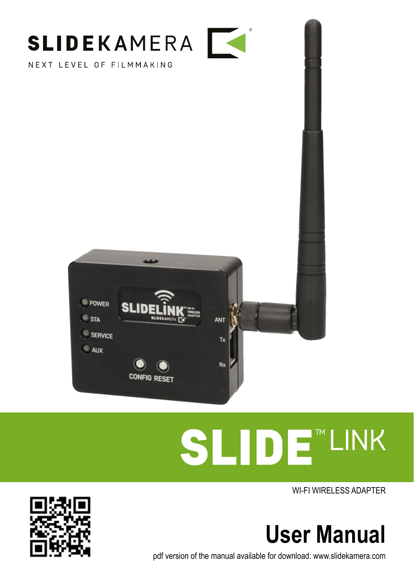

NEXT LEVEL OF FILMMAKING



# **SLIDE** LINK

WI-FI WIRELESS ADAPTER



pdf version of the manual available for download: www.slidekamera.com

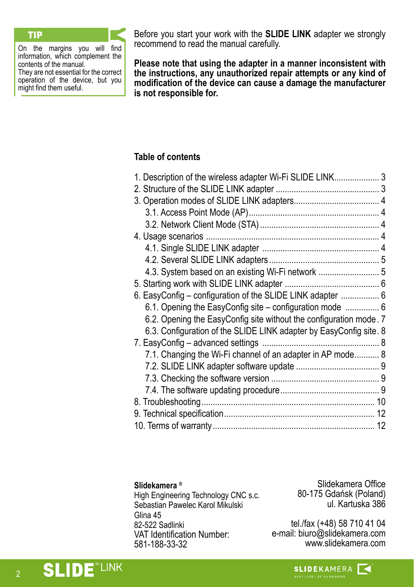On the margins you will find information, which complement the contents of the manual. They are not essential for the correct operation of the device, but you might find them useful.

**TIP** Before you start your work with the **SLIDE LINK** adapter we strongly recommend to read the manual carefully.

> **Please note that using the adapter in a manner inconsistent with the instructions, any unauthorized repair attempts or any kind of modification of the device can cause a damage the manufacturer is not responsible for.**

# **Table of contents**

| 1. Description of the wireless adapter Wi-Fi SLIDE LINK 3          |  |
|--------------------------------------------------------------------|--|
|                                                                    |  |
|                                                                    |  |
|                                                                    |  |
|                                                                    |  |
|                                                                    |  |
|                                                                    |  |
|                                                                    |  |
| 4.3. System based on an existing Wi-Fi network  5                  |  |
|                                                                    |  |
| 6. EasyConfig - configuration of the SLIDE LINK adapter  6         |  |
| 6.1. Opening the EasyConfig site - configuration mode  6           |  |
| 6.2. Opening the EasyConfig site without the configuration mode. 7 |  |
| 6.3. Configuration of the SLIDE LINK adapter by EasyConfig site. 8 |  |
|                                                                    |  |
| 7.1. Changing the Wi-Fi channel of an adapter in AP mode 8         |  |
|                                                                    |  |
|                                                                    |  |
|                                                                    |  |
|                                                                    |  |
|                                                                    |  |
|                                                                    |  |

#### **Slidekamera ®**

High Engineering Technology CNC s.c. Sebastian Pawelec Karol Mikulski Glina 45 82-522 Sadlinki VAT Identification Number: 581-188-33-32

Slidekamera Office 80-175 Gdańsk (Poland) ul. Kartuska 386

tel./fax (+48) 58 710 41 04 e-mail: biuro@slidekamera.com www.slidekamera.com

**SLIDE**<sup>"LINK</sup>

**SLIDEKAMERA**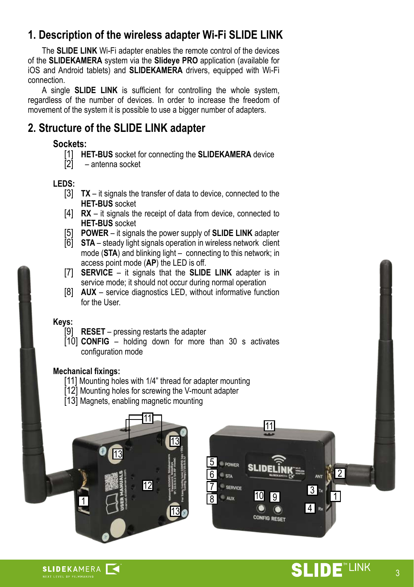# <span id="page-2-0"></span>**1. Description of the wireless adapter Wi-Fi SLIDE LINK**

 The **SLIDE LINK** Wi-Fi adapter enables the remote control of the devices of the **SLIDEKAMERA** system via the **Slideye PRO** application (available for iOS and Android tablets) and **SLIDEKAMERA** drivers, equipped with Wi-Fi connection.

 A single **SLIDE LINK** is sufficient for controlling the whole system, regardless of the number of devices. In order to increase the freedom of movement of the system it is possible to use a bigger number of adapters.

# **2. Structure of the SLIDE LINK adapter**

# **Sockets:**

- [1] **HET-BUS** socket for connecting the **SLIDEKAMERA** device
- [2] antenna socket

# **LEDS:**

- [3] **TX** it signals the transfer of data to device, connected to the **HET-BUS** socket
- [4] **RX** it signals the receipt of data from device, connected to **HET-BUS** socket<br>**POWER** – it signals the power supply of **SLIDE LINK** adapter
- [5] **POWER** it signals the power supply of **SLIDE LINK** adapter
- [6] **STA** steady light signals operation in wireless network client mode (**STA**) and blinking light – connecting to this network; in access point mode (**AP**) the LED is off.
- [7] **SERVICE** it signals that the **SLIDE LINK** adapter is in service mode; it should not occur during normal operation
- [8] **AUX** service diagnostics LED, without informative function for the User.

# **Keys:**

- **RESET** pressing restarts the adapter
- [10] **CONFIG** holding down for more than 30 s activates configuration mode

#### **Mechanical fixings:**

- [11] Mounting holes with 1/4" thread for adapter mounting
- [12] Mounting holes for screwing the V-mount adapter
- [13] Magnets, enabling magnetic mounting





1

3 4

**ANT** 

10

**CONFIG RESET** 

5 POWER 6 7  $\overline{R}$ 

 $\overline{\phantom{a}}$  STA

SERVICE AUX

11

2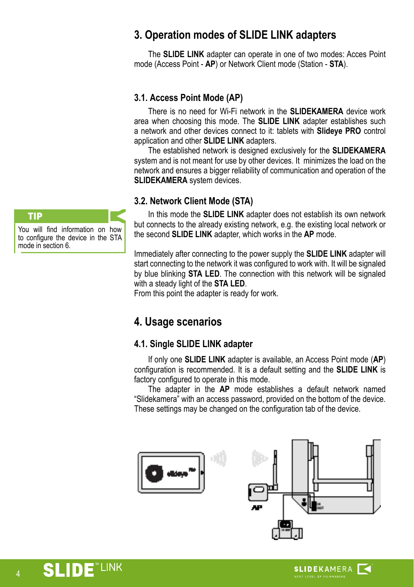# <span id="page-3-0"></span>**3. Operation modes of SLIDE LINK adapters**

 The **SLIDE LINK** adapter can operate in one of two modes: Acces Point mode (Access Point - **AP**) or Network Client mode (Station - **STA**).

# **3.1. Access Point Mode (AP)**

 There is no need for Wi-Fi network in the **SLIDEKAMERA** device work area when choosing this mode. The **SLIDE LINK** adapter establishes such a network and other devices connect to it: tablets with **Slideye PRO** control application and other **SLIDE LINK** adapters.

 The established network is designed exclusively for the **SLIDEKAMERA** system and is not meant for use by other devices. It minimizes the load on the network and ensures a bigger reliability of communication and operation of the **SLIDEKAMERA** system devices.

# **3.2. Network Client Mode (STA)**

 In this mode the **SLIDE LINK** adapter does not establish its own network but connects to the already existing network, e.g. the existing local network or the second **SLIDE LINK** adapter, which works in the **AP** mode.

Immediately after connecting to the power supply the **SLIDE LINK** adapter will start connecting to the network it was configured to work with. It will be signaled by blue blinking **STA LED**. The connection with this network will be signaled with a steady light of the **STA LED**.

From this point the adapter is ready for work.

# **4. Usage scenarios**

# **4.1. Single SLIDE LINK adapter**

 If only one **SLIDE LINK** adapter is available, an Access Point mode (**AP**) configuration is recommended. It is a default setting and the **SLIDE LINK** is factory configured to operate in this mode.

 The adapter in the **AP** mode establishes a default network named "Slidekamera" with an access password, provided on the bottom of the device. These settings may be changed on the configuration tab of the device.





You will find information on how to configure the device in the STA mode in section 6.

4

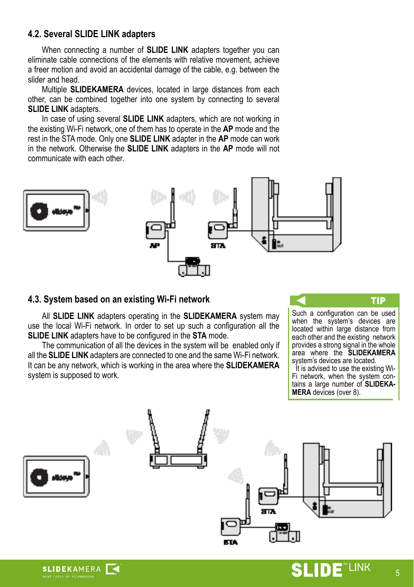# <span id="page-4-0"></span>**4.2. Several SLIDE LINK adapters**

 When connecting a number of **SLIDE LINK** adapters together you can eliminate cable connections of the elements with relative movement, achieve a freer motion and avoid an accidental damage of the cable, e.g. between the slider and head.

 Multiple **SLIDEKAMERA** devices, located in large distances from each other, can be combined together into one system by connecting to several **SLIDE LINK** adapters.

 In case of using several **SLIDE LINK** adapters, which are not working in the existing Wi-Fi network, one of them has to operate in the **AP** mode and the rest in the STA mode. Only one **SLIDE LINK** adapter in the **AP** mode can work in the network. Otherwise the **SLIDE LINK** adapters in the **AP** mode will not communicate with each other.



#### **4.3. System based on an existing Wi-Fi network**

**SLIDEKAMERA** 

 All **SLIDE LINK** adapters operating in the **SLIDEKAMERA** system may use the local Wi-Fi network. In order to set up such a configuration all the **SLIDE LINK** adapters have to be configured in the **STA** mode.

 The communication of all the devices in the system will be enabled only if all the **SLIDE LINK** adapters are connected to one and the same Wi-Fi network. It can be any network, which is working in the area where the **SLIDEKAMERA** system is supposed to work.



when the system's devices are located within large distance from each other and the existing network provides a strong signal in the whole area where the **SLIDEKAMERA** system's devices are located.

It is advised to use the existing Wi-Fi network, when the system contains a large number of **SLIDEKA-MERA** devices (over 8).



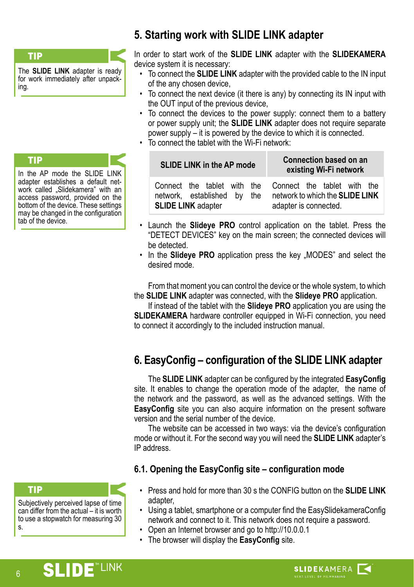#### <span id="page-5-0"></span>TIP

The **SLIDE LINK** adapter is ready for work immediately after unpacking.

#### TIP

In the AP mode the SLIDE LINK adapter establishes a default network called .Slidekamera" with an access password, provided on the bottom of the device. These settings may be changed in the configuration tab of the device.

# **5. Starting work with SLIDE LINK adapter**

In order to start work of the **SLIDE LINK** adapter with the **SLIDEKAMERA** device system it is necessary:

- To connect the **SLIDE LINK** adapter with the provided cable to the IN input of the any chosen device,
- To connect the next device (it there is any) by connecting its IN input with the OUT input of the previous device,
- To connect the devices to the power supply: connect them to a battery or power supply unit; the **SLIDE LINK** adapter does not require separate power supply – it is powered by the device to which it is connected.
- To connect the tablet with the Wi-Fi network:

#### **SLIDE LINK in the AP mode Connection based on an existing Wi-Fi network**

Connect the tablet with the network, established by the **SLIDE LINK** adapter

Connect the tablet with the network to which the **SLIDE LINK** adapter is connected.

- Launch the **Slideye PRO** control application on the tablet. Press the "DETECT DEVICES" key on the main screen; the connected devices will be detected.
- In the **Slideye PRO** application press the key "MODES" and select the desired mode.

From that moment you can control the device or the whole system, to which the **SLIDE LINK** adapter was connected, with the **Slideye PRO** application.

If instead of the tablet with the **Slideye PRO** application you are using the **SLIDEKAMERA** hardware controller equipped in Wi-Fi connection, you need to connect it accordingly to the included instruction manual.

# **6. EasyConfig – configuration of the SLIDE LINK adapter**

The **SLIDE LINK** adapter can be configured by the integrated **EasyConfig** site. It enables to change the operation mode of the adapter, the name of the network and the password, as well as the advanced settings. With the **EasyConfig** site you can also acquire information on the present software version and the serial number of the device.

The website can be accessed in two ways: via the device's configuration mode or without it. For the second way you will need the **SLIDE LINK** adapter's IP address.

# **6.1. Opening the EasyConfig site – configuration mode**

- Press and hold for more than 30 s the CONFIG button on the **SLIDE LINK**  adapter,
- Using a tablet, smartphone or a computer find the EasySlidekameraConfig network and connect to it. This network does not require a password.
- Open an Internet browser and go to http://10.0.0.1
- The browser will display the **EasyConfig** site.

Subjectively perceived lapse of time can differ from the actual – it is worth to use a stopwatch for measuring 30



6

s.

TIP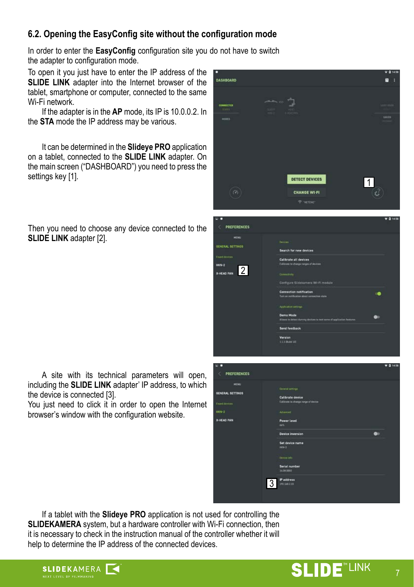# <span id="page-6-0"></span>**6.2. Opening the EasyConfig site without the configuration mode**

In order to enter the **EasyConfig** configuration site you do not have to switch the adapter to configuration mode.

To open it you just have to enter the IP address of the **SLIDE LINK** adapter into the Internet browser of the tablet, smartphone or computer, connected to the same Wi-Fi network.

If the adapter is in the **AP** mode, its IP is 10.0.0.2. In the **STA** mode the IP address may be various.

It can be determined in the **Slideye PRO** application on a tablet, connected to the **SLIDE LINK** adapter. On the main screen ("DASHBOARD") you need to press the settings key [1].

Then you need to choose any device connected to the **SLIDE LINK** adapter [2].



| <b>PREFERENCES</b>       |                                                                       | $\Psi$ <b>Q</b> 14:58 |
|--------------------------|-----------------------------------------------------------------------|-----------------------|
|                          |                                                                       |                       |
| MORO                     | Devices.                                                              |                       |
| RAL SETTINGS             | Search for new devices                                                |                       |
| devices                  |                                                                       |                       |
|                          | Calibrate all devices                                                 |                       |
| ,                        | Calibrate to change ranges of devices                                 |                       |
| $\overline{2}$<br>AD PAN |                                                                       |                       |
|                          | Connectivity                                                          |                       |
|                          | Configure Slidekamera Wt-Fi module                                    |                       |
|                          | Connection notification                                               |                       |
|                          | Turn on notification about connection state                           |                       |
|                          | Application settings                                                  |                       |
|                          | <b>Demo Made</b>                                                      |                       |
|                          | Allows to detect thermy devices to test some of application features. |                       |
|                          | <b>Send feedback</b>                                                  |                       |
|                          | Version                                                               |                       |
|                          | 111 IBune 101                                                         |                       |
|                          |                                                                       |                       |
|                          |                                                                       |                       |
|                          |                                                                       |                       |
|                          |                                                                       |                       |

A site with its technical parameters will open, including the **SLIDE LINK** adapter' IP address, to which the device is connected [3].

You just need to click it in order to open the Internet browser's window with the configuration website.



If a tablet with the **Slideye PRO** application is not used for controlling the **SLIDEKAMERA** system, but a hardware controller with Wi-Fi connection, then it is necessary to check in the instruction manual of the controller whether it will help to determine the IP address of the connected devices.

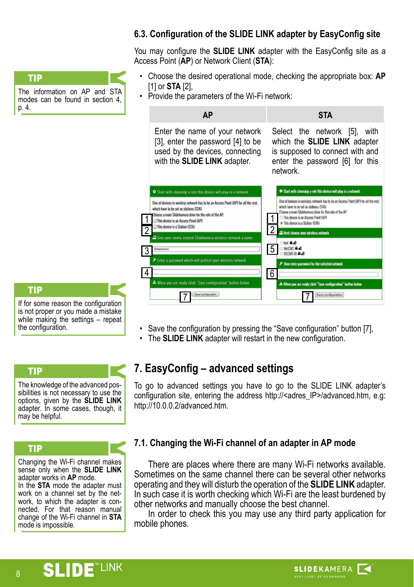<span id="page-7-0"></span>The information on AP and STA modes can be found in section 4 p. 4. TIP

# **6.3. Configuration of the SLIDE LINK adapter by EasyConfig site**

You may configure the **SLIDE LINK** adapter with the EasyConfig site as a Access Point (**AP**) or Network Client (**STA**):

- Choose the desired operational mode, checking the appropriate box: **AP** [1] or **STA** [2],
- Provide the parameters of the Wi-Fi network:



If for some reason the configuration is not proper or you made a mistake while making the settings – repeat the configuration.

TIP

TIP

The knowledge of the advanced possibilities is not necessary to use the options, given by the **SLIDE LINK**  adapter. In some cases, though, it may be helpful.

#### TIP

Changing the Wi-Fi channel makes sense only when the **SLIDE LINK**  adapter works in **AP** mode. In the **STA** mode the adapter must work on a channel set by the net-

work, to which the adapter is connected. For that reason manual change of the Wi-Fi channel in **STA** mode is impossible.

- Save the configuration by pressing the "Save configuration" button [7],
- The **SLIDE LINK** adapter will restart in the new configuration.

# **7. EasyConfig – advanced settings**

To go to advanced settings you have to go to the SLIDE LINK adapter's configuration site, entering the address http://<adres\_IP>/advanced.htm. e.g: http://10.0.0.2/advanced.htm.

# **7.1. Changing the Wi-Fi channel of an adapter in AP mode**

There are places where there are many Wi-Fi networks available. Sometimes on the same channel there can be several other networks operating and they will disturb the operation of the **SLIDE LINK** adapter. In such case it is worth checking which Wi-Fi are the least burdened by other networks and manually choose the best channel.

In order to check this you may use any third party application for mobile phones.

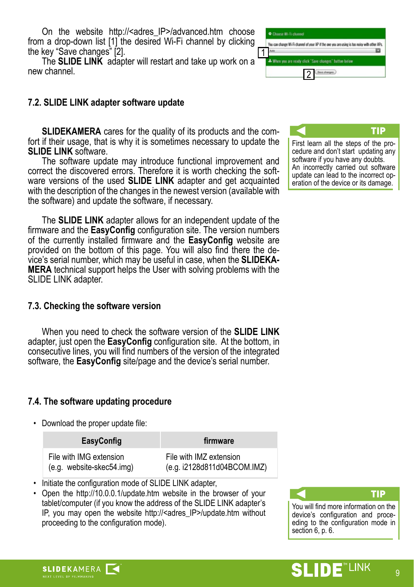<span id="page-8-0"></span>On the website http://<adres IP>/advanced.htm choose from a drop-down list [1] the desired Wi-Fi channel by clicking the key "Save changes" [2].

The **SLIDE LINK** adapter will restart and take up work on a new channel.

#### **7.2. SLIDE LINK adapter software update**

**SLIDEKAMERA** cares for the quality of its products and the comfort if their usage, that is why it is sometimes necessary to update the **SLIDE LINK** software.

The software update may introduce functional improvement and correct the discovered errors. Therefore it is worth checking the software versions of the used **SLIDE LINK** adapter and get acquainted with the description of the changes in the newest version (available with the software) and update the software, if necessary.

The **SLIDE LINK** adapter allows for an independent update of the firmware and the **EasyConfig** configuration site. The version numbers of the currently installed firmware and the **EasyConfig** website are vice's serial number, which may be useful in case, when the **SLIDEKA-MERA** technical support helps the User with solving problems with the SLIDE LINK adapter.

#### **7.3. Checking the software version**

When you need to check the software version of the **SLIDE LINK**  adapter, just open the **EasyConfig** configuration site. At the bottom, in consecutive lines, you will find numbers of the version of the integrated software, the **EasyConfig** site/page and the device's serial number.

# **7.4. The software updating procedure**

• Download the proper update file:

**SLIDEKAMERA** 

| <b>EasyConfig</b>         | firmware                    |
|---------------------------|-----------------------------|
| File with IMG extension   | File with IMZ extension     |
| (e.g. website-skec54.img) | (e.g. i2128d811d04BCOM.IMZ) |

- Initiate the configuration mode of SLIDE LINK adapter,
- Open the http://10.0.0.1/update.htm website in the browser of your tablet/computer (if you know the address of the SLIDE LINK adapter's IP, you may open the website http://<adres\_IP>/update.htm without proceeding to the configuration mode).



TIP First learn all the steps of the pro-

cedure and don't start updating any software if you have any doubts. An incorrectly carried out software update can lead to the incorrect operation of the device or its damage.

TIP You will find more information on the device's configuration and proceeding to the configuration mode in section 6, p. 6.

#### **LINK** 11) E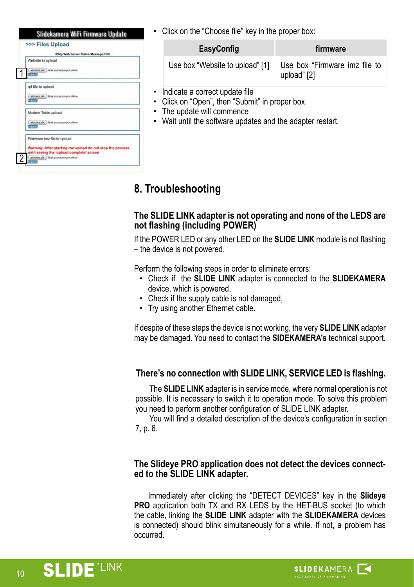<span id="page-9-0"></span>

|                    | >>> Files Upload                                                                                        |
|--------------------|---------------------------------------------------------------------------------------------------------|
|                    | iChip Web Server Status Message: I/OK                                                                   |
| Website to upload  |                                                                                                         |
| <b>Glassick</b>    | Wybietz plk) Brak zaznaczonych placer                                                                   |
| rpf file to upload |                                                                                                         |
| <b>Schman</b>      | (Wybierz plk.) Brak zaznaczonych plków                                                                  |
|                    | Modem Table upload                                                                                      |
| <b>Statt</b>       | Wybierz plk. ) Brak zaznaczonych plkow                                                                  |
|                    | Firmware imz file to upload                                                                             |
|                    | Warning: After starting the upload do not stop the process<br>until seeing the 'upload complete' screen |
| $-1$               | Wybierz plk: Brak zaznaczonych place                                                                    |

Click on the "Choose file" key in the proper box:

| EasyConfig                      | firmware                                     |
|---------------------------------|----------------------------------------------|
| Use box "Website to upload" [1] | Use box "Firmware imz file to<br>upload" [2] |

- Indicate a correct update file
- Click on "Open", then "Submit" in proper box
- The update will commence
- Wait until the software updates and the adapter restart.

# **8. Troubleshooting**

#### **The SLIDE LINK adapter is not operating and none of the LEDS are not flashing (including POWER)**

If the POWER LED or any other LED on the **SLIDE LINK** module is not flashing – the device is not powered.

Perform the following steps in order to eliminate errors:

- Check if the **SLIDE LINK** adapter is connected to the **SLIDEKAMERA** device, which is powered,
- Check if the supply cable is not damaged,
- Try using another Ethernet cable.

If despite of these steps the device is not working, the very **SLIDE LINK** adapter may be damaged. You need to contact the **SIDEKAMERA's** technical support.

# **There's no connection with SLIDE LINK, SERVICE LED is flashing.**

The **SLIDE LINK** adapter is in service mode, where normal operation is not possible. It is necessary to switch it to operation mode. To solve this problem you need to perform another configuration of SLIDE LINK adapter.

You will find a detailed description of the device's configuration in section 7, p. 6.

#### **The Slideye PRO application does not detect the devices connected to the SLIDE LINK adapter.**

Immediately after clicking the "DETECT DEVICES" key in the **Slideye PRO** application both TX and RX LEDS by the HET-BUS socket (to which the cable, linking the **SLIDE LINK** adapter with the **SLIDEKAMERA** devices is connected) should blink simultaneously for a while. If not, a problem has occurred.

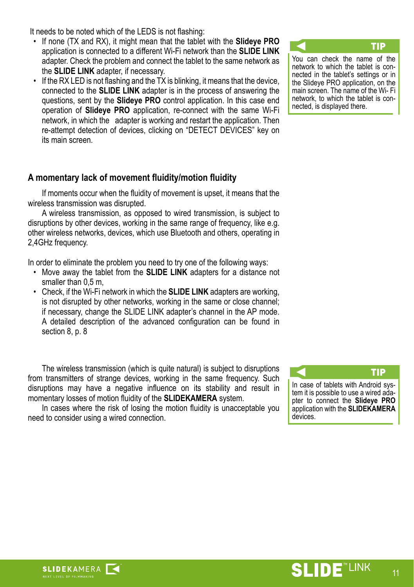It needs to be noted which of the LEDS is not flashing:

- If none (TX and RX), it might mean that the tablet with the **Slideye PRO** application is connected to a different Wi-Fi network than the **SLIDE LINK** adapter. Check the problem and connect the tablet to the same network as the **SLIDE LINK** adapter, if necessary.
- $\cdot$  If the RX LED is not flashing and the TX is blinking, it means that the device, connected to the **SLIDE LINK** adapter is in the process of answering the questions, sent by the **Slideye PRO** control application. In this case end operation of **Slideye PRO** application, re-connect with the same Wi-Fi network, in which the adapter is working and restart the application. Then re-attempt detection of devices, clicking on "DETECT DEVICES" key on its main screen.

# TIP You can check the name of the

network to which the tablet is connected in the tablet's settings or in the Slideye PRO application, on the main screen. The name of the Wi- Fi network, to which the tablet is connected, is displayed there.

# **A momentary lack of movement fluidity/motion fluidity**

If moments occur when the fluidity of movement is upset, it means that the wireless transmission was disrupted.

A wireless transmission, as opposed to wired transmission, is subject to disruptions by other devices, working in the same range of frequency, like e.g. other wireless networks, devices, which use Bluetooth and others, operating in 2,4GHz frequency.

In order to eliminate the problem you need to try one of the following ways:

- Move away the tablet from the **SLIDE LINK** adapters for a distance not smaller than 0.5 m.
- Check, if the Wi-Fi network in which the **SLIDE LINK** adapters are working, is not disrupted by other networks, working in the same or close channel; if necessary, change the SLIDE LINK adapter's channel in the AP mode. A detailed description of the advanced configuration can be found in section 8, p. 8

The wireless transmission (which is quite natural) is subject to disruptions from transmitters of strange devices, working in the same frequency. Such disruptions may have a negative influence on its stability and result in momentary losses of motion fluidity of the **SLIDEKAMERA** system.

In cases where the risk of losing the motion fluidity is unacceptable you need to consider using a wired connection.

TIP In case of tablets with Android system it is possible to use a wired adapter to connect the **Slideye PRO** application with the **SLIDEKAMERA** devices.